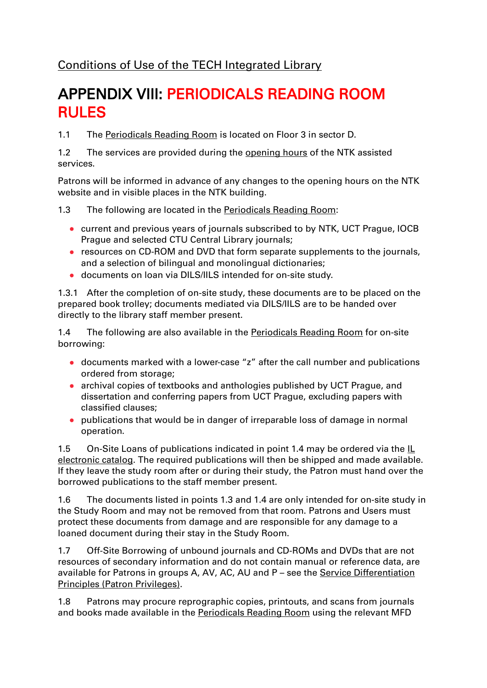[Conditions of Use of the TECH Integrated Library](/default/files/download/id/4617/)

## APPENDIX VIII: PERIODICALS READING ROOM RULES

1.1 The [Periodicals Reading Room](/en/82969) is located on Floor 3 in sector D.

1.2 The services are provided during the [opening hours](/en/2854) of the NTK assisted services.

Patrons will be informed in advance of any changes to the opening hours on the NTK website and in visible places in the NTK building.

1.3 The following are located in the [Periodicals Reading Room:](/en/82969)

- current and previous years of journals subscribed to by NTK, UCT Prague, IOCB Prague and selected CTU Central Library journals;
- resources on CD-ROM and DVD that form separate supplements to the journals, and a selection of bilingual and monolingual dictionaries;
- documents on loan via DILS/IILS intended for on-site study.

1.3.1 After the completion of on-site study, these documents are to be placed on the prepared book trolley; documents mediated via DILS/IILS are to be handed over directly to the library staff member present.

1.4 The following are also available in the **Periodicals Reading Room** for on-site borrowing:

- documents marked with a lower-case "z" after the call number and publications ordered from storage;
- archival copies of textbooks and anthologies published by UCT Prague, and dissertation and conferring papers from UCT Prague, excluding papers with classified clauses;
- publications that would be in danger of irreparable loss of damage in normal operation.

1.5 On-Site Loans of publications indicated in point 1.4 may be ordered via the [IL](https://vufind.techlib.cz/?_ga=2.229007385.402643343.1608536117-835253009.1603264929&lng=en)  [electronic catalog.](https://vufind.techlib.cz/?_ga=2.229007385.402643343.1608536117-835253009.1603264929&lng=en) The required publications will then be shipped and made available. If they leave the study room after or during their study, the Patron must hand over the borrowed publications to the staff member present.

1.6 The documents listed in points 1.3 and 1.4 are only intended for on-site study in the Study Room and may not be removed from that room. Patrons and Users must protect these documents from damage and are responsible for any damage to a loaned document during their stay in the Study Room.

1.7 Off-Site Borrowing of unbound journals and CD-ROMs and DVDs that are not resources of secondary information and do not contain manual or reference data, are available for Patrons in groups A, AV, AC, AU and P - see the Service Differentiation [Principles \(Patron Privileges\).](/default/files/download/id/86908/)

1.8 Patrons may procure reprographic copies, printouts, and scans from journals and books made available in the [Periodicals Reading Room](/en/82969) using the relevant MFD